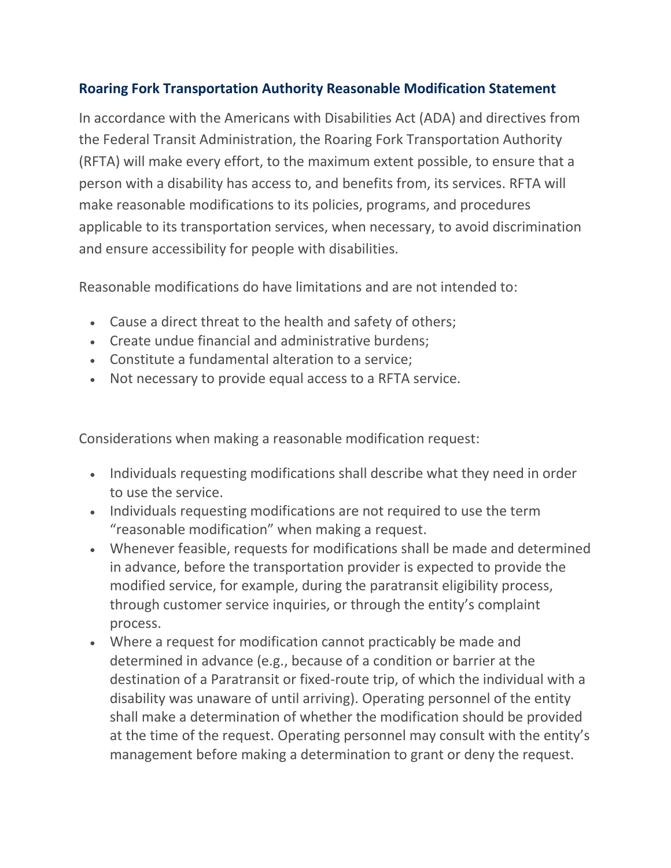## **Roaring Fork Transportation Authority Reasonable Modification Statement**

In accordance with the Americans with Disabilities Act (ADA) and directives from the Federal Transit Administration, the Roaring Fork Transportation Authority (RFTA) will make every effort, to the maximum extent possible, to ensure that a person with a disability has access to, and benefits from, its services. RFTA will make reasonable modifications to its policies, programs, and procedures applicable to its transportation services, when necessary, to avoid discrimination and ensure accessibility for people with disabilities.

Reasonable modifications do have limitations and are not intended to:

- Cause a direct threat to the health and safety of others;
- Create undue financial and administrative burdens;
- Constitute a fundamental alteration to a service;
- Not necessary to provide equal access to a RFTA service.

Considerations when making a reasonable modification request:

- Individuals requesting modifications shall describe what they need in order to use the service.
- Individuals requesting modifications are not required to use the term "reasonable modification" when making a request.
- Whenever feasible, requests for modifications shall be made and determined in advance, before the transportation provider is expected to provide the modified service, for example, during the paratransit eligibility process, through customer service inquiries, or through the entity's complaint process.
- Where a request for modification cannot practicably be made and determined in advance (e.g., because of a condition or barrier at the destination of a Paratransit or fixed-route trip, of which the individual with a disability was unaware of until arriving). Operating personnel of the entity shall make a determination of whether the modification should be provided at the time of the request. Operating personnel may consult with the entity's management before making a determination to grant or deny the request.